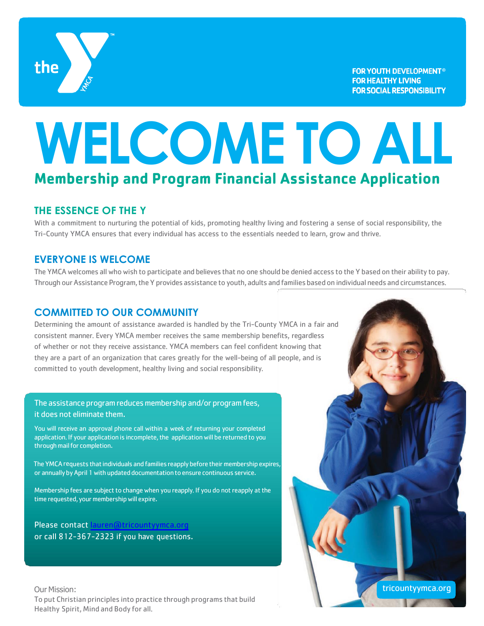

# **WELCOME TO ALL Membership and Program Financial Assistance Application**

#### **THE ESSENCE OF THE Y**

With a commitment to nurturing the potential of kids, promoting healthy living and fostering a sense of social responsibility, the Tri-County YMCA ensures that every individual has access to the essentials needed to learn, grow and thrive.

#### **EVERYONE IS WELCOME**

The YMCA welcomes all who wish to participate and believes that no one should be denied access to the Y based on their ability to pay. Through our Assistance Program, the Y provides assistance to youth, adults and families based on individual needs and circumstances.

#### **COMMITTED TO OUR COMMUNITY**

Determining the amount of assistance awarded is handled by the Tri-County YMCA in a fair and consistent manner. Every YMCA member receives the same membership benefits, regardless of whether or not they receive assistance. YMCA members can feel confident knowing that they are a part of an organization that cares greatly for the well-being of all people, and is committed to youth development, healthy living and social responsibility.

#### The assistance program reduces membership and/or program fees, it does not eliminate them.

You will receive an approval phone call within a week of returning your completed application. If your application is incomplete, the application will be returned to you through mail for completion.

The YMCA requests that individuals and families reapply before their membership expires, or annually by April 1 with updated documentation to ensure continuous service.

Membership fees are subject to change when you reapply. If you do not reapply at the time requested, your membership will expire.

Please contac[t lauren@tricountyymca.or](mailto:lauren@tricountyymca.org)g or call 812-367-2323 if you have questions.

Our Mission: To put Christian principles into practice through programs that build Healthy Spirit, Mind and Body for all.